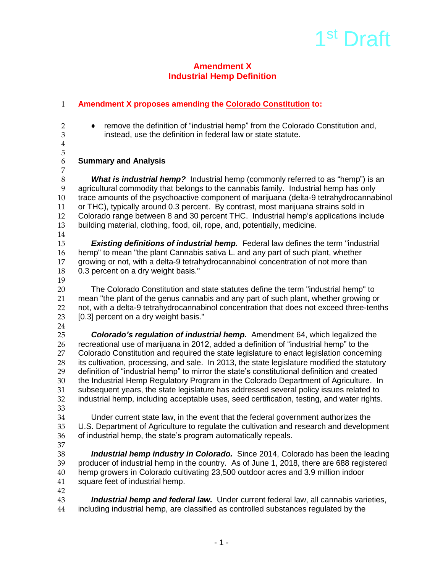# 1<sup>st</sup> Draft

### **Amendment X Industrial Hemp Definition**

# 1 **Amendment X proposes amending the Colorado Constitution to:**

- 
- 2 ◆ remove the definition of "industrial hemp" from the Colorado Constitution and,<br>3 instead. use the definition in federal law or state statute. instead, use the definition in federal law or state statute.
- 4

7

5

# 6 **Summary and Analysis**

 *What is industrial hemp?* Industrial hemp (commonly referred to as "hemp") is an agricultural commodity that belongs to the cannabis family. Industrial hemp has only trace amounts of the psychoactive component of marijuana (delta-9 tetrahydrocannabinol or THC), typically around 0.3 percent. By contrast, most marijuana strains sold in 12 Colorado range between 8 and 30 percent THC. Industrial hemp's applications include<br>13 building material, clothing, food, oil, rope, and, potentially, medicine. building material, clothing, food, oil, rope, and, potentially, medicine.

14

15 *Existing definitions of industrial hemp.*Federal law defines the term "industrial 16 hemp" to mean "the plant Cannabis sativa L. and any part of such plant, whether 17 growing or not, with a delta-9 tetrahydrocannabinol concentration of not more than<br>18 0.3 percent on a drv weight basis." 0.3 percent on a dry weight basis."

19

 The Colorado Constitution and state statutes define the term "industrial hemp" to mean "the plant of the genus cannabis and any part of such plant, whether growing or not, with a delta-9 tetrahydrocannabinol concentration that does not exceed three-tenths 23 [0.3] percent on a dry weight basis."

 $\frac{24}{25}$ 

25 *Colorado's regulation of industrial hemp.*Amendment 64, which legalized the 26 recreational use of marijuana in 2012, added a definition of "industrial hemp" to the 27 Colorado Constitution and required the state legislature to enact legislation concerning<br>28 its cultivation, processing, and sale. In 2013, the state legislature modified the statutory its cultivation, processing, and sale. In 2013, the state legislature modified the statutory 29 definition of "industrial hemp" to mirror the state's constitutional definition and created 30 the Industrial Hemp Regulatory Program in the Colorado Department of Agriculture. In 31 subsequent years, the state legislature has addressed several policy issues related to<br>32 industrial hemp, including acceptable uses, seed certification, testing, and water rights. industrial hemp, including acceptable uses, seed certification, testing, and water rights.

33<br>34 34 Under current state law, in the event that the federal government authorizes the<br>35 U.S. Department of Agriculture to regulate the cultivation and research and developi U.S. Department of Agriculture to regulate the cultivation and research and development 36 of industrial hemp, the state's program automatically repeals.

37<br>38

**Industrial hemp industry in Colorado.** Since 2014, Colorado has been the leading producer of industrial hemp in the country. As of June 1, 2018, there are 688 registered hemp growers in Colorado cultivating 23,500 outdoor acres and 3.9 million indoor square feet of industrial hemp.

42

**Industrial hemp and federal law.** Under current federal law, all cannabis varieties, 44 including industrial hemp, are classified as controlled substances regulated by the